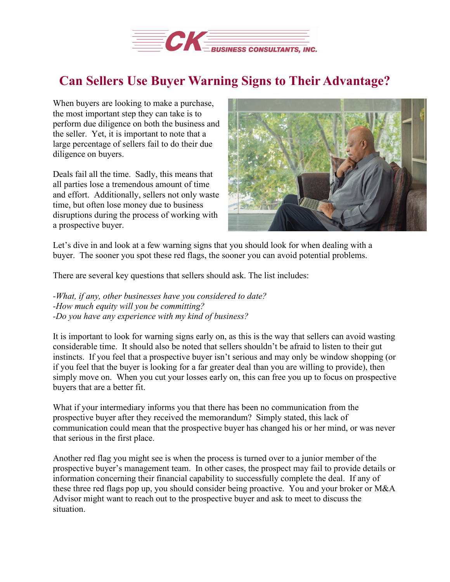

## **Can Sellers Use Buyer Warning Signs to Their Advantage?**

When buyers are looking to make a purchase, the most important step they can take is to perform due diligence on both the business and the seller. Yet, it is important to note that a large percentage of sellers fail to do their due diligence on buyers.

Deals fail all the time. Sadly, this means that all parties lose a tremendous amount of time and effort. Additionally, sellers not only waste time, but often lose money due to business disruptions during the process of working with a prospective buyer.



Let's dive in and look at a few warning signs that you should look for when dealing with a buyer. The sooner you spot these red flags, the sooner you can avoid potential problems.

There are several key questions that sellers should ask. The list includes:

*-What, if any, other businesses have you considered to date? -How much equity will you be committing? -Do you have any experience with my kind of business?*

It is important to look for warning signs early on, as this is the way that sellers can avoid wasting considerable time. It should also be noted that sellers shouldn't be afraid to listen to their gut instincts. If you feel that a prospective buyer isn't serious and may only be window shopping (or if you feel that the buyer is looking for a far greater deal than you are willing to provide), then simply move on. When you cut your losses early on, this can free you up to focus on prospective buyers that are a better fit.

What if your intermediary informs you that there has been no communication from the prospective buyer after they received the memorandum? Simply stated, this lack of communication could mean that the prospective buyer has changed his or her mind, or was never that serious in the first place.

Another red flag you might see is when the process is turned over to a junior member of the prospective buyer's management team. In other cases, the prospect may fail to provide details or information concerning their financial capability to successfully complete the deal. If any of these three red flags pop up, you should consider being proactive. You and your broker or M&A Advisor might want to reach out to the prospective buyer and ask to meet to discuss the situation.